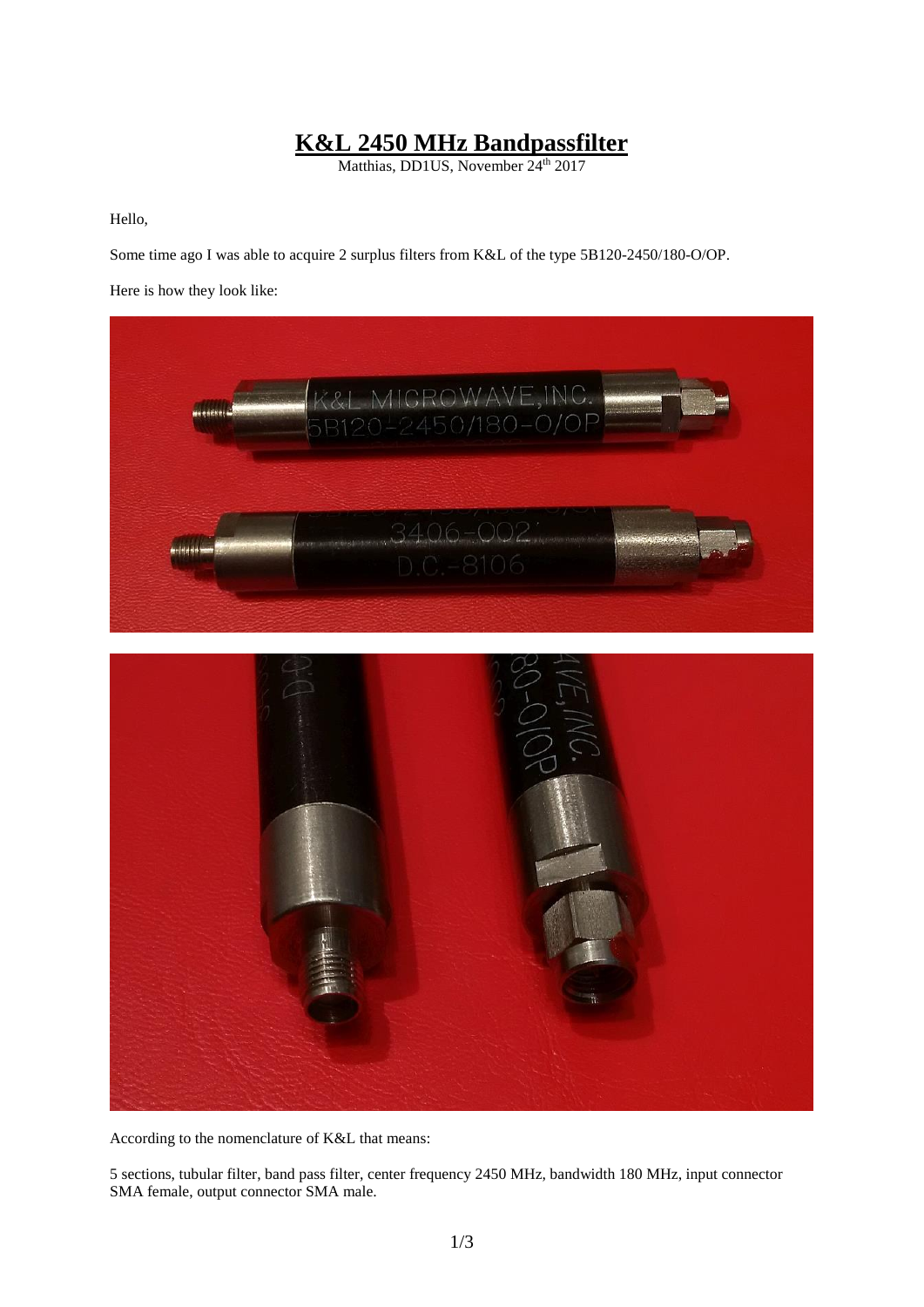## **K&L 2450 MHz Bandpassfilter**

Matthias, DD1US, November 24<sup>th</sup> 2017

Hello,

Some time ago I was able to acquire 2 surplus filters from K&L of the type 5B120-2450/180-O/OP.

Here is how they look like:



According to the nomenclature of K&L that means:

5 sections, tubular filter, band pass filter, center frequency 2450 MHz, bandwidth 180 MHz, input connector SMA female, output connector SMA male.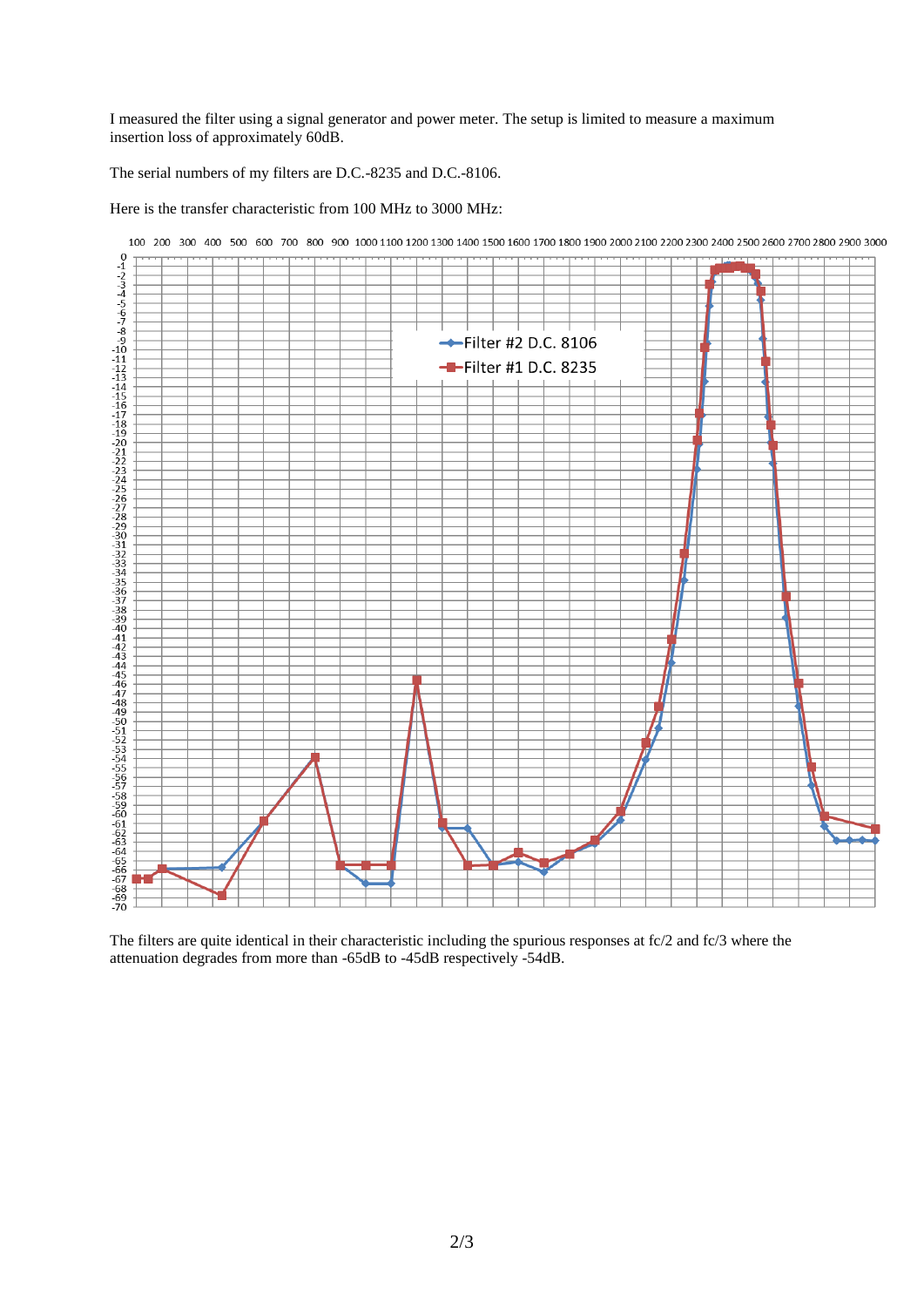I measured the filter using a signal generator and power meter. The setup is limited to measure a maximum insertion loss of approximately 60dB.

The serial numbers of my filters are D.C.-8235 and D.C.-8106.

Here is the transfer characteristic from 100 MHz to 3000 MHz:



The filters are quite identical in their characteristic including the spurious responses at fc/2 and fc/3 where the attenuation degrades from more than -65dB to -45dB respectively -54dB.